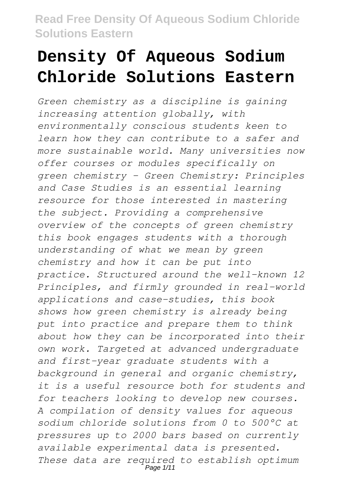# **Density Of Aqueous Sodium Chloride Solutions Eastern**

*Green chemistry as a discipline is gaining increasing attention globally, with environmentally conscious students keen to learn how they can contribute to a safer and more sustainable world. Many universities now offer courses or modules specifically on green chemistry - Green Chemistry: Principles and Case Studies is an essential learning resource for those interested in mastering the subject. Providing a comprehensive overview of the concepts of green chemistry this book engages students with a thorough understanding of what we mean by green chemistry and how it can be put into practice. Structured around the well-known 12 Principles, and firmly grounded in real-world applications and case-studies, this book shows how green chemistry is already being put into practice and prepare them to think about how they can be incorporated into their own work. Targeted at advanced undergraduate and first-year graduate students with a background in general and organic chemistry, it is a useful resource both for students and for teachers looking to develop new courses. A compilation of density values for aqueous sodium chloride solutions from 0 to 500°C at pressures up to 2000 bars based on currently available experimental data is presented. These data are required to establish optimum* Page 1/11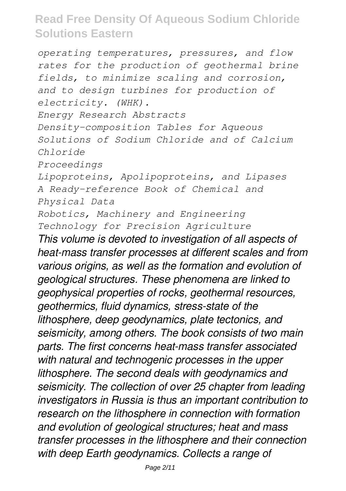*operating temperatures, pressures, and flow rates for the production of geothermal brine fields, to minimize scaling and corrosion, and to design turbines for production of electricity. (WHK). Energy Research Abstracts Density-composition Tables for Aqueous Solutions of Sodium Chloride and of Calcium Chloride Proceedings Lipoproteins, Apolipoproteins, and Lipases A Ready-reference Book of Chemical and Physical Data Robotics, Machinery and Engineering Technology for Precision Agriculture This volume is devoted to investigation of all aspects of heat-mass transfer processes at different scales and from various origins, as well as the formation and evolution of geological structures. These phenomena are linked to geophysical properties of rocks, geothermal resources, geothermics, fluid dynamics, stress-state of the lithosphere, deep geodynamics, plate tectonics, and seismicity, among others. The book consists of two main parts. The first concerns heat-mass transfer associated with natural and technogenic processes in the upper lithosphere. The second deals with geodynamics and seismicity. The collection of over 25 chapter from leading investigators in Russia is thus an important contribution to research on the lithosphere in connection with formation and evolution of geological structures; heat and mass transfer processes in the lithosphere and their connection with deep Earth geodynamics. Collects a range of*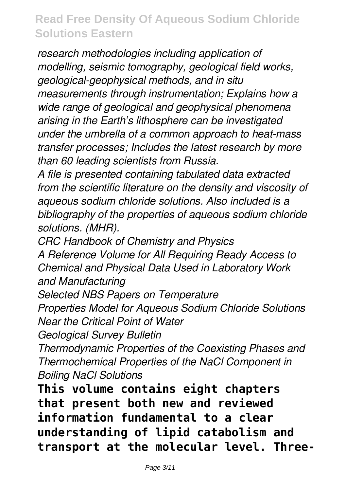*research methodologies including application of modelling, seismic tomography, geological field works, geological-geophysical methods, and in situ measurements through instrumentation; Explains how a wide range of geological and geophysical phenomena arising in the Earth's lithosphere can be investigated under the umbrella of a common approach to heat-mass transfer processes; Includes the latest research by more than 60 leading scientists from Russia.*

*A file is presented containing tabulated data extracted from the scientific literature on the density and viscosity of aqueous sodium chloride solutions. Also included is a bibliography of the properties of aqueous sodium chloride solutions. (MHR).*

*CRC Handbook of Chemistry and Physics*

*A Reference Volume for All Requiring Ready Access to Chemical and Physical Data Used in Laboratory Work and Manufacturing*

*Selected NBS Papers on Temperature*

*Properties Model for Aqueous Sodium Chloride Solutions Near the Critical Point of Water*

*Geological Survey Bulletin*

*Thermodynamic Properties of the Coexisting Phases and Thermochemical Properties of the NaCl Component in Boiling NaCl Solutions*

**This volume contains eight chapters that present both new and reviewed information fundamental to a clear understanding of lipid catabolism and transport at the molecular level. Three-**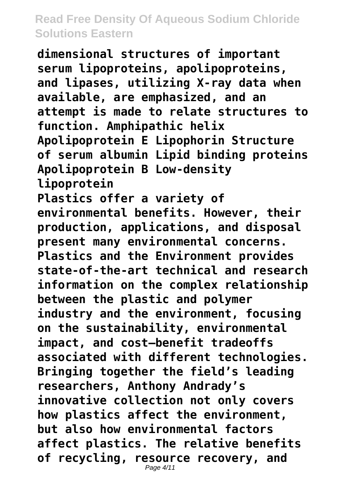**dimensional structures of important serum lipoproteins, apolipoproteins, and lipases, utilizing X-ray data when available, are emphasized, and an attempt is made to relate structures to function. Amphipathic helix Apolipoprotein E Lipophorin Structure of serum albumin Lipid binding proteins Apolipoprotein B Low-density lipoprotein Plastics offer a variety of environmental benefits. However, their production, applications, and disposal present many environmental concerns. Plastics and the Environment provides state-of-the-art technical and research information on the complex relationship between the plastic and polymer industry and the environment, focusing on the sustainability, environmental impact, and cost—benefit tradeoffs associated with different technologies. Bringing together the field's leading researchers, Anthony Andrady's innovative collection not only covers how plastics affect the environment, but also how environmental factors affect plastics. The relative benefits of recycling, resource recovery, and** Page 4/11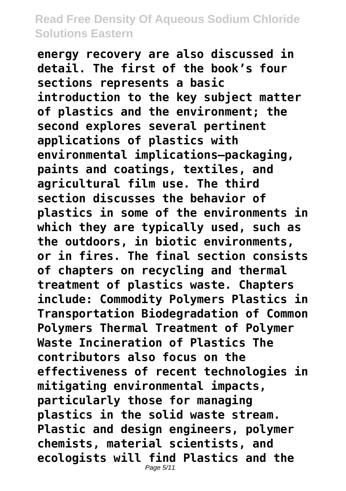**energy recovery are also discussed in detail. The first of the book's four sections represents a basic introduction to the key subject matter of plastics and the environment; the second explores several pertinent applications of plastics with environmental implications–packaging, paints and coatings, textiles, and agricultural film use. The third section discusses the behavior of plastics in some of the environments in which they are typically used, such as the outdoors, in biotic environments, or in fires. The final section consists of chapters on recycling and thermal treatment of plastics waste. Chapters include: Commodity Polymers Plastics in Transportation Biodegradation of Common Polymers Thermal Treatment of Polymer Waste Incineration of Plastics The contributors also focus on the effectiveness of recent technologies in mitigating environmental impacts, particularly those for managing plastics in the solid waste stream. Plastic and design engineers, polymer chemists, material scientists, and ecologists will find Plastics and the** Page 5/11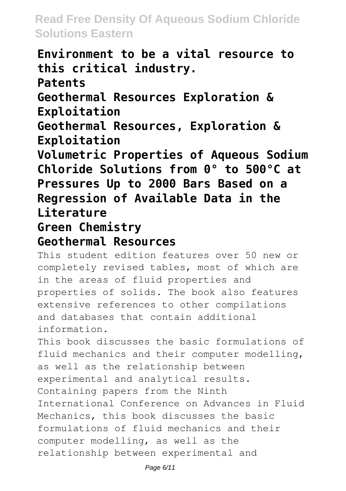**Environment to be a vital resource to this critical industry. Patents Geothermal Resources Exploration & Exploitation Geothermal Resources, Exploration & Exploitation Volumetric Properties of Aqueous Sodium Chloride Solutions from 0° to 500°C at Pressures Up to 2000 Bars Based on a Regression of Available Data in the Literature**

**Green Chemistry**

#### **Geothermal Resources**

This student edition features over 50 new or completely revised tables, most of which are in the areas of fluid properties and properties of solids. The book also features extensive references to other compilations and databases that contain additional information.

This book discusses the basic formulations of fluid mechanics and their computer modelling, as well as the relationship between experimental and analytical results. Containing papers from the Ninth International Conference on Advances in Fluid Mechanics, this book discusses the basic formulations of fluid mechanics and their computer modelling, as well as the relationship between experimental and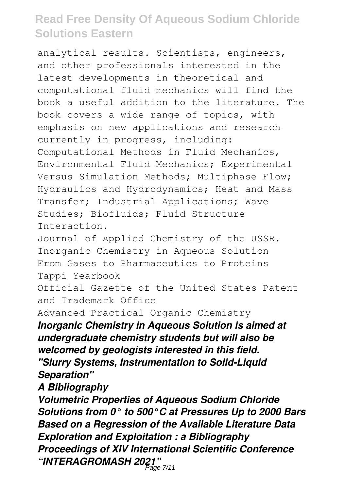analytical results. Scientists, engineers, and other professionals interested in the latest developments in theoretical and computational fluid mechanics will find the book a useful addition to the literature. The book covers a wide range of topics, with emphasis on new applications and research currently in progress, including: Computational Methods in Fluid Mechanics, Environmental Fluid Mechanics; Experimental Versus Simulation Methods; Multiphase Flow; Hydraulics and Hydrodynamics; Heat and Mass Transfer; Industrial Applications; Wave Studies; Biofluids; Fluid Structure Interaction.

Journal of Applied Chemistry of the USSR. Inorganic Chemistry in Aqueous Solution From Gases to Pharmaceutics to Proteins Tappi Yearbook

Official Gazette of the United States Patent and Trademark Office

Advanced Practical Organic Chemistry

*Inorganic Chemistry in Aqueous Solution is aimed at undergraduate chemistry students but will also be welcomed by geologists interested in this field. "Slurry Systems, Instrumentation to Solid-Liquid Separation"*

*A Bibliography*

*Volumetric Properties of Aqueous Sodium Chloride Solutions from 0° to 500°C at Pressures Up to 2000 Bars Based on a Regression of the Available Literature Data Exploration and Exploitation : a Bibliography Proceedings of XIV International Scientific Conference "INTERAGROMASH 2021"* Page 7/11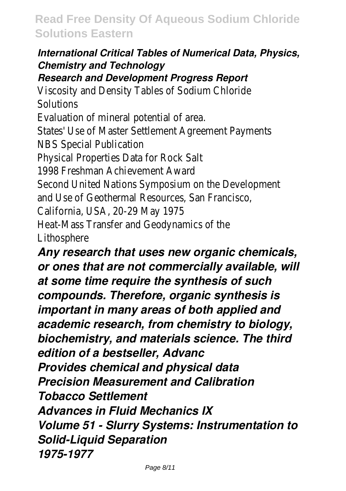#### *International Critical Tables of Numerical Data, Physics, Chemistry and Technology*

#### *Research and Development Progress Report*

Viscosity and Density Tables of Sodium Chloride Solutions

Evaluation of mineral potential of area.

States' Use of Master Settlement Agreement Payments NBS Special Publication

Physical Properties Data for Rock Salt

1998 Freshman Achievement Award

Second United Nations Symposium on the Development

and Use of Geothermal Resources, San Francisco,

California, USA, 20-29 May 1975

Heat-Mass Transfer and Geodynamics of the Lithosphere

*Any research that uses new organic chemicals, or ones that are not commercially available, will at some time require the synthesis of such compounds. Therefore, organic synthesis is important in many areas of both applied and academic research, from chemistry to biology, biochemistry, and materials science. The third edition of a bestseller, Advanc Provides chemical and physical data Precision Measurement and Calibration Tobacco Settlement Advances in Fluid Mechanics IX Volume 51 - Slurry Systems: Instrumentation to Solid-Liquid Separation 1975-1977*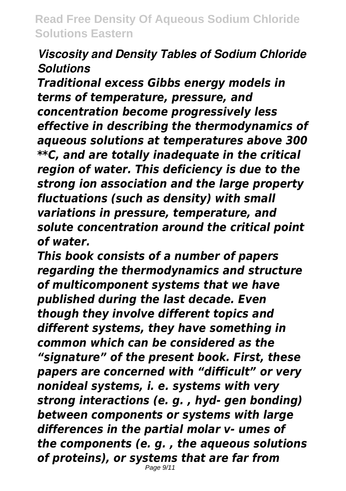# *Viscosity and Density Tables of Sodium Chloride Solutions*

*Traditional excess Gibbs energy models in terms of temperature, pressure, and concentration become progressively less effective in describing the thermodynamics of aqueous solutions at temperatures above 300 \*\*C, and are totally inadequate in the critical region of water. This deficiency is due to the strong ion association and the large property fluctuations (such as density) with small variations in pressure, temperature, and solute concentration around the critical point of water.*

*This book consists of a number of papers regarding the thermodynamics and structure of multicomponent systems that we have published during the last decade. Even though they involve different topics and different systems, they have something in common which can be considered as the "signature" of the present book. First, these papers are concerned with "difficult" or very nonideal systems, i. e. systems with very strong interactions (e. g. , hyd- gen bonding) between components or systems with large differences in the partial molar v- umes of the components (e. g. , the aqueous solutions of proteins), or systems that are far from* Page 9/11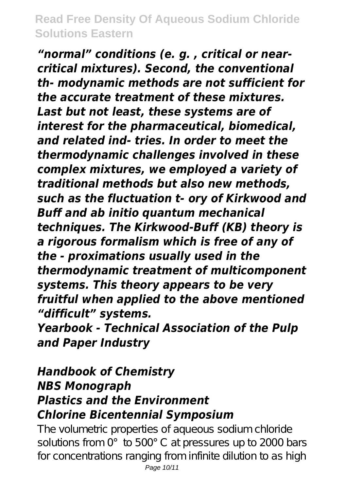*"normal" conditions (e. g. , critical or nearcritical mixtures). Second, the conventional th- modynamic methods are not sufficient for the accurate treatment of these mixtures. Last but not least, these systems are of interest for the pharmaceutical, biomedical, and related ind- tries. In order to meet the thermodynamic challenges involved in these complex mixtures, we employed a variety of traditional methods but also new methods, such as the fluctuation t- ory of Kirkwood and Buff and ab initio quantum mechanical techniques. The Kirkwood-Buff (KB) theory is a rigorous formalism which is free of any of the - proximations usually used in the thermodynamic treatment of multicomponent systems. This theory appears to be very fruitful when applied to the above mentioned "difficult" systems.*

*Yearbook - Technical Association of the Pulp and Paper Industry*

# *Handbook of Chemistry NBS Monograph Plastics and the Environment Chlorine Bicentennial Symposium*

The volumetric properties of aqueous sodium chloride solutions from 0° to 500°C at pressures up to 2000 bars for concentrations ranging from infinite dilution to as high Page 10/11